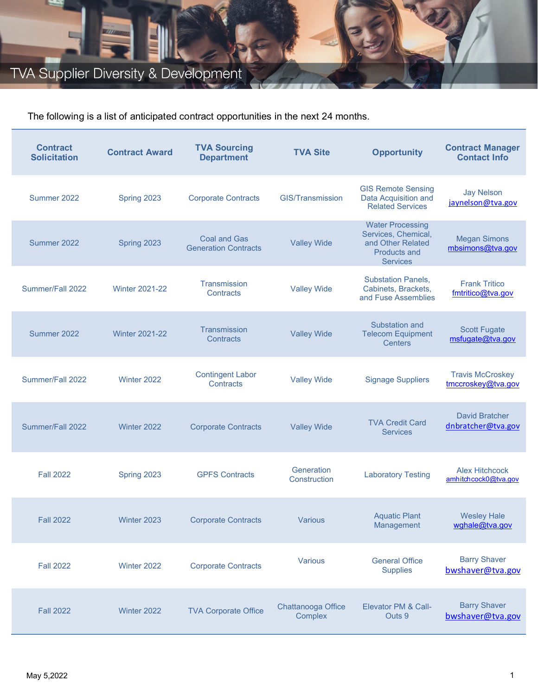## TVA Supplier Diversity & Development

The following is a list of anticipated contract opportunities in the next 24 months.

| <b>Contract</b><br><b>Solicitation</b> | <b>Contract Award</b> | <b>TVA Sourcing</b><br><b>Department</b>           | <b>TVA Site</b>               | <b>Opportunity</b>                                                                                     | <b>Contract Manager</b><br><b>Contact Info</b> |
|----------------------------------------|-----------------------|----------------------------------------------------|-------------------------------|--------------------------------------------------------------------------------------------------------|------------------------------------------------|
| Summer 2022                            | Spring 2023           | <b>Corporate Contracts</b>                         | <b>GIS/Transmission</b>       | <b>GIS Remote Sensing</b><br>Data Acquisition and<br><b>Related Services</b>                           | <b>Jay Nelson</b><br>jaynelson@tva.gov         |
| Summer 2022                            | Spring 2023           | <b>Coal and Gas</b><br><b>Generation Contracts</b> | <b>Valley Wide</b>            | <b>Water Processing</b><br>Services, Chemical,<br>and Other Related<br>Products and<br><b>Services</b> | <b>Megan Simons</b><br>mbsimons@tva.gov        |
| Summer/Fall 2022                       | <b>Winter 2021-22</b> | Transmission<br>Contracts                          | <b>Valley Wide</b>            | <b>Substation Panels,</b><br>Cabinets, Brackets,<br>and Fuse Assemblies                                | <b>Frank Tritico</b><br>fmtritico@tva.gov      |
| Summer 2022                            | <b>Winter 2021-22</b> | Transmission<br>Contracts                          | <b>Valley Wide</b>            | Substation and<br><b>Telecom Equipment</b><br><b>Centers</b>                                           | <b>Scott Fugate</b><br>msfugate@tva.gov        |
| Summer/Fall 2022                       | Winter 2022           | <b>Contingent Labor</b><br>Contracts               | <b>Valley Wide</b>            | <b>Signage Suppliers</b>                                                                               | <b>Travis McCroskey</b><br>tmccroskey@tva.gov  |
| Summer/Fall 2022                       | Winter 2022           | <b>Corporate Contracts</b>                         | <b>Valley Wide</b>            | <b>TVA Credit Card</b><br><b>Services</b>                                                              | <b>David Bratcher</b><br>dnbratcher@tva.gov    |
| <b>Fall 2022</b>                       | Spring 2023           | <b>GPFS Contracts</b>                              | Generation<br>Construction    | <b>Laboratory Testing</b>                                                                              | <b>Alex Hitchcock</b><br>amhitchcock0@tva.gov  |
| <b>Fall 2022</b>                       | Winter 2023           | <b>Corporate Contracts</b>                         | Various                       | <b>Aquatic Plant</b><br>Management                                                                     | <b>Wesley Hale</b><br>wghale@tva.gov           |
| <b>Fall 2022</b>                       | Winter 2022           | <b>Corporate Contracts</b>                         | Various                       | <b>General Office</b><br><b>Supplies</b>                                                               | <b>Barry Shaver</b><br>bwshaver@tva.gov        |
| <b>Fall 2022</b>                       | Winter 2022           | <b>TVA Corporate Office</b>                        | Chattanooga Office<br>Complex | Elevator PM & Call-<br>Outs 9                                                                          | <b>Barry Shaver</b><br>bwshaver@tva.gov        |

*ANTICIPATED CONTRACT OPPORTUNITIES*